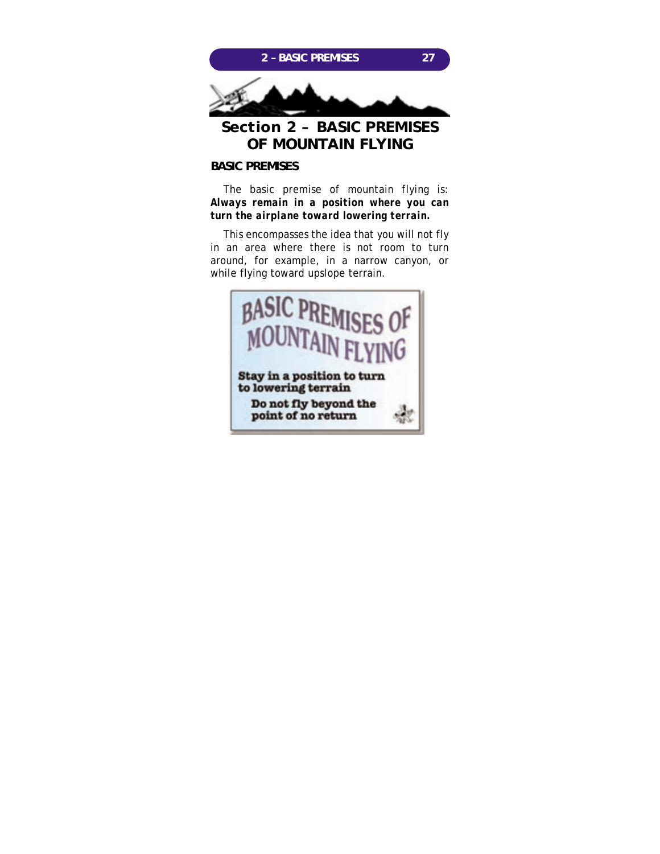

# **BASIC PREMISES**

The basic premise of mountain flying is: *Always remain in a position where you can turn the airplane toward lowering terrain.*

This encompasses the idea that you will not fly in an area where there is not room to turn around, for example, in a narrow canyon, or while flying toward upslope terrain.

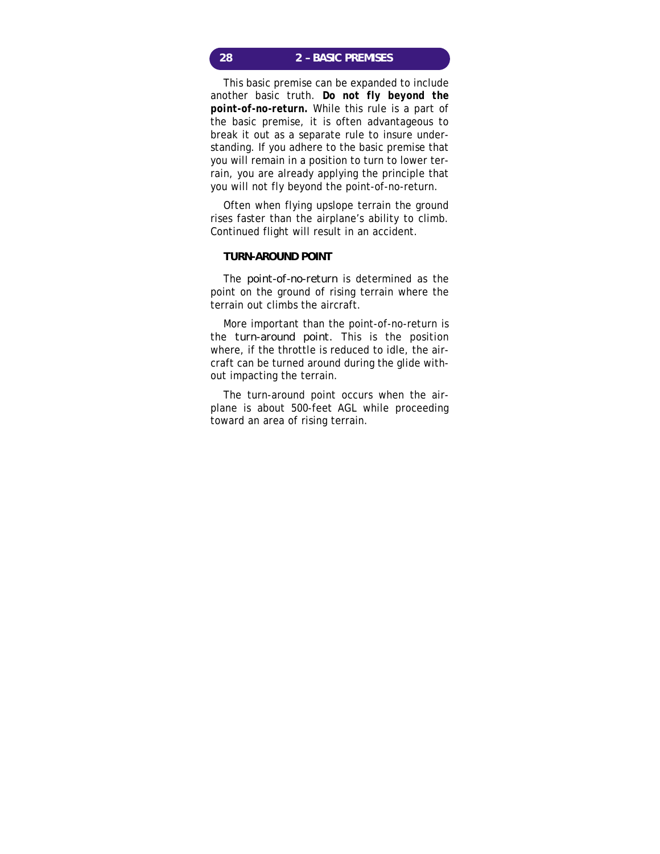## **28 2 – BASIC PREMISES**

This basic premise can be expanded to include another basic truth. *Do not fly beyond the point-of-no-return.* While this rule is a part of the basic premise, it is often advantageous to break it out as a separate rule to insure understanding. If you adhere to the basic premise that you will remain in a position to turn to lower terrain, you are already applying the principle that you will not fly beyond the point-of-no-return.

Often when flying upslope terrain the ground rises faster than the airplane's ability to climb. Continued flight will result in an accident.

#### **TURN-AROUND POINT**

The *point-of-no-return* is determined as the point on the ground of rising terrain where the terrain out climbs the aircraft.

More important than the point-of-no-return is the *turn-around point.* This is the position where, if the throttle is reduced to idle, the aircraft can be turned around during the glide without impacting the terrain.

The turn-around point occurs when the airplane is about 500-feet AGL while proceeding toward an area of rising terrain.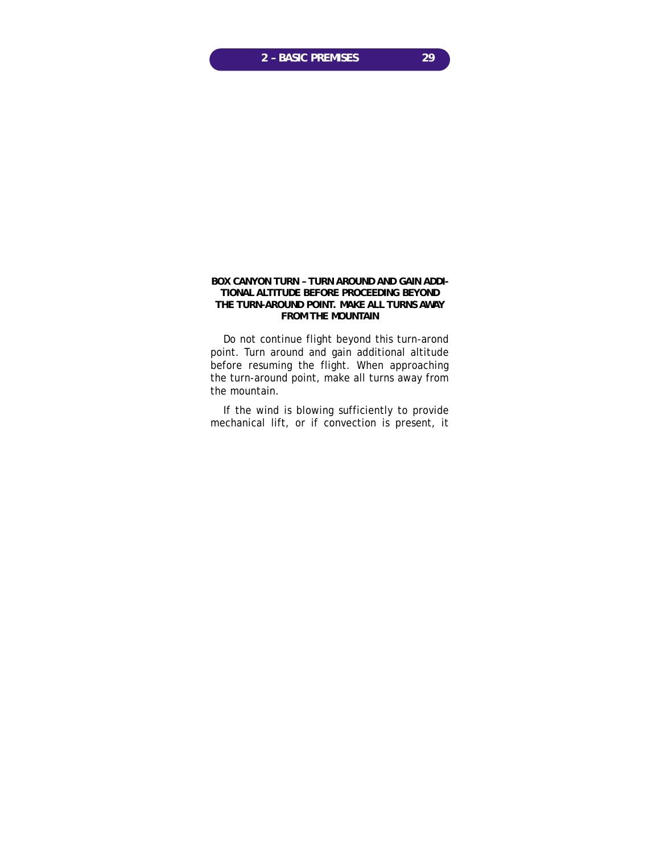### **BOX CANYON TURN – TURN AROUND AND GAIN ADDI-TIONAL ALTITUDE BEFORE PROCEEDING BEYOND THE TURN-AROUND POINT. MAKE ALL TURNS AWAY FROM THE MOUNTAIN**

Do not continue flight beyond this turn-arond point. Turn around and gain additional altitude before resuming the flight. When approaching the turn-around point, make all turns away from the mountain.

If the wind is blowing sufficiently to provide mechanical lift, or if convection is present, it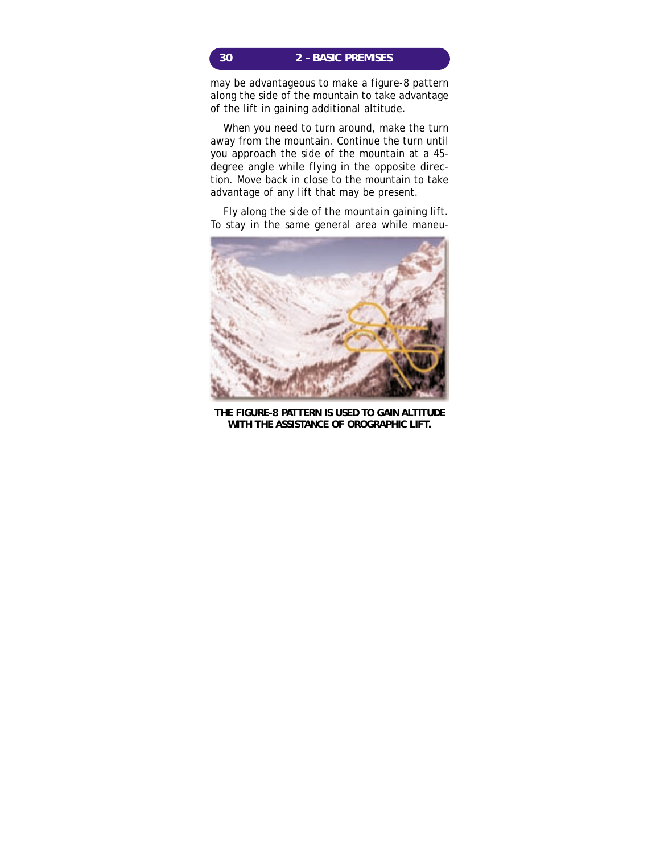# **30 2 – BASIC PREMISES**

may be advantageous to make a figure-8 pattern along the side of the mountain to take advantage of the lift in gaining additional altitude.

When you need to turn around, make the turn away from the mountain. Continue the turn until you approach the side of the mountain at a 45 degree angle while flying in the opposite direction. Move back in close to the mountain to take advantage of any lift that may be present.

Fly along the side of the mountain gaining lift. To stay in the same general area while maneu-



**THE FIGURE-8 PATTERN IS USED TO GAIN ALTITUDE WITH THE ASSISTANCE OF OROGRAPHIC LIFT.**